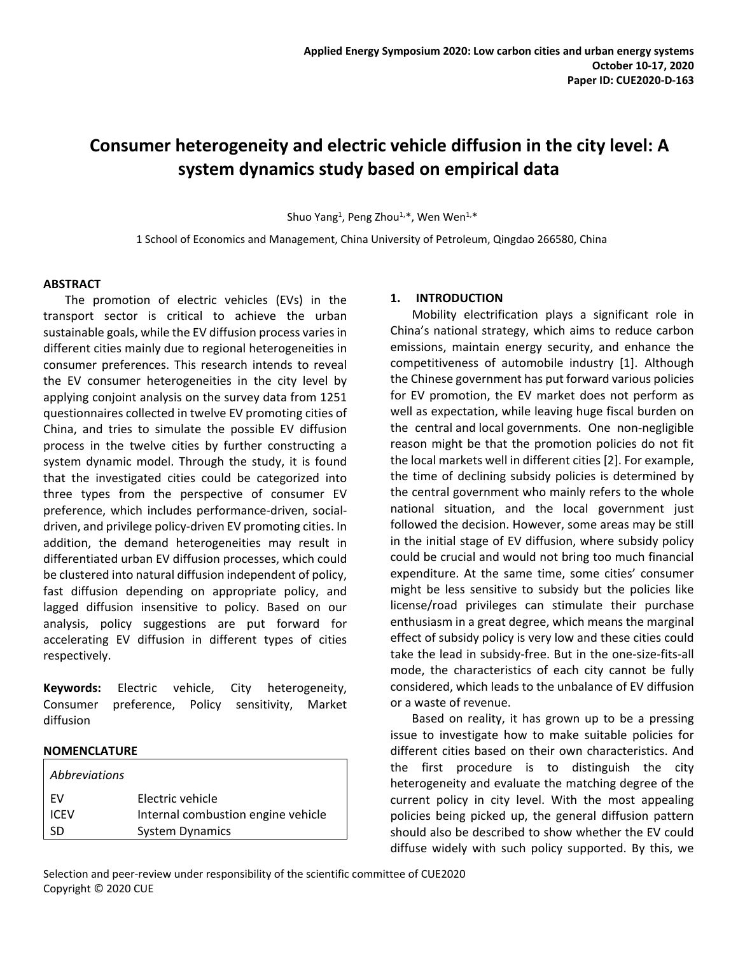# **Consumer heterogeneity and electric vehicle diffusion in the city level: A system dynamics study based on empirical data**

Shuo Yang<sup>1</sup>, Peng Zhou<sup>1,\*</sup>, Wen Wen<sup>1,\*</sup>

1 School of Economics and Management, China University of Petroleum, Qingdao 266580, China

# **ABSTRACT**

The promotion of electric vehicles (EVs) in the transport sector is critical to achieve the urban sustainable goals, while the EV diffusion process varies in different cities mainly due to regional heterogeneities in consumer preferences. This research intends to reveal the EV consumer heterogeneities in the city level by applying conjoint analysis on the survey data from 1251 questionnaires collected in twelve EV promoting cities of China, and tries to simulate the possible EV diffusion process in the twelve cities by further constructing a system dynamic model. Through the study, it is found that the investigated cities could be categorized into three types from the perspective of consumer EV preference, which includes performance-driven, socialdriven, and privilege policy-driven EV promoting cities. In addition, the demand heterogeneities may result in differentiated urban EV diffusion processes, which could be clustered into natural diffusion independent of policy, fast diffusion depending on appropriate policy, and lagged diffusion insensitive to policy. Based on our analysis, policy suggestions are put forward for accelerating EV diffusion in different types of cities respectively.

**Keywords:** Electric vehicle, City heterogeneity, Consumer preference, Policy sensitivity, Market diffusion

# **NOMENCLATURE**

| <i>Abbreviations</i> |                                    |
|----------------------|------------------------------------|
| FV                   | Electric vehicle                   |
| <b>ICEV</b>          | Internal combustion engine vehicle |
| SD                   | <b>System Dynamics</b>             |
|                      |                                    |

# **1. INTRODUCTION**

Mobility electrification plays a significant role in China's national strategy, which aims to reduce carbon emissions, maintain energy security, and enhance the competitiveness of automobile industry [1]. Although the Chinese government has put forward various policies for EV promotion, the EV market does not perform as well as expectation, while leaving huge fiscal burden on the central and local governments. One non-negligible reason might be that the promotion policies do not fit the local markets well in different cities [2]. For example, the time of declining subsidy policies is determined by the central government who mainly refers to the whole national situation, and the local government just followed the decision. However, some areas may be still in the initial stage of EV diffusion, where subsidy policy could be crucial and would not bring too much financial expenditure. At the same time, some cities' consumer might be less sensitive to subsidy but the policies like license/road privileges can stimulate their purchase enthusiasm in a great degree, which means the marginal effect of subsidy policy is very low and these cities could take the lead in subsidy-free. But in the one-size-fits-all mode, the characteristics of each city cannot be fully considered, which leads to the unbalance of EV diffusion or a waste of revenue.

Based on reality, it has grown up to be a pressing issue to investigate how to make suitable policies for different cities based on their own characteristics. And the first procedure is to distinguish the city heterogeneity and evaluate the matching degree of the current policy in city level. With the most appealing policies being picked up, the general diffusion pattern should also be described to show whether the EV could diffuse widely with such policy supported. By this, we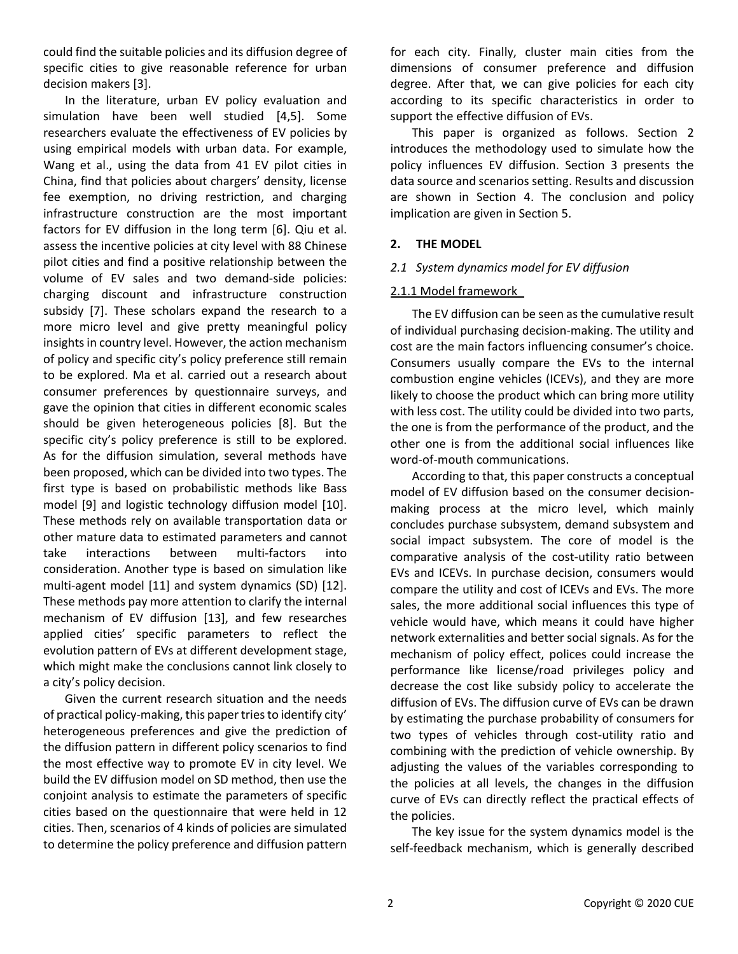could find the suitable policies and its diffusion degree of specific cities to give reasonable reference for urban decision makers [3].

In the literature, urban EV policy evaluation and simulation have been well studied [4,5]. Some researchers evaluate the effectiveness of EV policies by using empirical models with urban data. For example, Wang et al., using the data from 41 EV pilot cities in China, find that policies about chargers' density, license fee exemption, no driving restriction, and charging infrastructure construction are the most important factors for EV diffusion in the long term [6]. Qiu et al. assess the incentive policies at city level with 88 Chinese pilot cities and find a positive relationship between the volume of EV sales and two demand-side policies: charging discount and infrastructure construction subsidy [7]. These scholars expand the research to a more micro level and give pretty meaningful policy insights in country level. However, the action mechanism of policy and specific city's policy preference still remain to be explored. Ma et al. carried out a research about consumer preferences by questionnaire surveys, and gave the opinion that cities in different economic scales should be given heterogeneous policies [8]. But the specific city's policy preference is still to be explored. As for the diffusion simulation, several methods have been proposed, which can be divided into two types. The first type is based on probabilistic methods like Bass model [9] and logistic technology diffusion model [10]. These methods rely on available transportation data or other mature data to estimated parameters and cannot take interactions between multi-factors into consideration. Another type is based on simulation like multi-agent model [11] and system dynamics (SD) [12]. These methods pay more attention to clarify the internal mechanism of EV diffusion [13], and few researches applied cities' specific parameters to reflect the evolution pattern of EVs at different development stage, which might make the conclusions cannot link closely to a city's policy decision.

Given the current research situation and the needs of practical policy-making, this paper tries to identify city' heterogeneous preferences and give the prediction of the diffusion pattern in different policy scenarios to find the most effective way to promote EV in city level. We build the EV diffusion model on SD method, then use the conjoint analysis to estimate the parameters of specific cities based on the questionnaire that were held in 12 cities. Then, scenarios of 4 kinds of policies are simulated to determine the policy preference and diffusion pattern

for each city. Finally, cluster main cities from the dimensions of consumer preference and diffusion degree. After that, we can give policies for each city according to its specific characteristics in order to support the effective diffusion of EVs.

This paper is organized as follows. Section 2 introduces the methodology used to simulate how the policy influences EV diffusion. Section 3 presents the data source and scenarios setting. Results and discussion are shown in Section 4. The conclusion and policy implication are given in Section 5.

# **2. THE MODEL**

# *2.1 System dynamics model for EV diffusion*

# 2.1.1 Model framework

The EV diffusion can be seen as the cumulative result of individual purchasing decision-making. The utility and cost are the main factors influencing consumer's choice. Consumers usually compare the EVs to the internal combustion engine vehicles (ICEVs), and they are more likely to choose the product which can bring more utility with less cost. The utility could be divided into two parts, the one is from the performance of the product, and the other one is from the additional social influences like word-of-mouth communications.

According to that, this paper constructs a conceptual model of EV diffusion based on the consumer decisionmaking process at the micro level, which mainly concludes purchase subsystem, demand subsystem and social impact subsystem. The core of model is the comparative analysis of the cost-utility ratio between EVs and ICEVs. In purchase decision, consumers would compare the utility and cost of ICEVs and EVs. The more sales, the more additional social influences this type of vehicle would have, which means it could have higher network externalities and better social signals. As for the mechanism of policy effect, polices could increase the performance like license/road privileges policy and decrease the cost like subsidy policy to accelerate the diffusion of EVs. The diffusion curve of EVs can be drawn by estimating the purchase probability of consumers for two types of vehicles through cost-utility ratio and combining with the prediction of vehicle ownership. By adjusting the values of the variables corresponding to the policies at all levels, the changes in the diffusion curve of EVs can directly reflect the practical effects of the policies.

The key issue for the system dynamics model is the self-feedback mechanism, which is generally described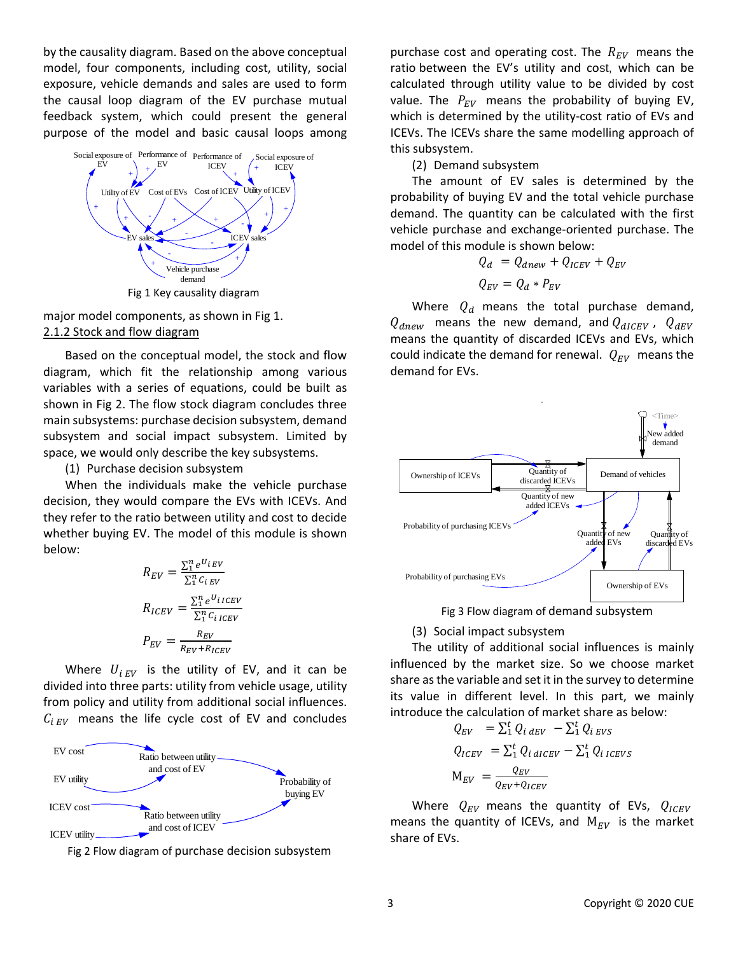by the causality diagram. Based on the above conceptual model, four components, including cost, utility, social exposure, vehicle demands and sales are used to form the causal loop diagram of the EV purchase mutual feedback system, which could present the general purpose of the model and basic causal loops among



major model components, as shown in Fig 1. 2.1.2 Stock and flow diagram

Based on the conceptual model, the stock and flow diagram, which fit the relationship among various variables with a series of equations, could be built as shown in Fig 2. The flow stock diagram concludes three main subsystems: purchase decision subsystem, demand subsystem and social impact subsystem. Limited by space, we would only describe the key subsystems.

(1) Purchase decision subsystem

When the individuals make the vehicle purchase decision, they would compare the EVs with ICEVs. And they refer to the ratio between utility and cost to decide whether buying EV. The model of this module is shown below:

$$
R_{EV} = \frac{\sum_{i}^{n} e^{U_{i}} E V}{\sum_{i}^{n} C_{i}} \times R_{ICEV} = \frac{\sum_{i}^{n} e^{U_{i}} ICEV}{\sum_{i}^{n} C_{i}} \times P_{EV} = \frac{R_{EV}}{R_{EV} + R_{ICEV}}
$$

Where  $U_{iEV}$  is the utility of EV, and it can be divided into three parts: utility from vehicle usage, utility from policy and utility from additional social influences.  $C_{iEV}$  means the life cycle cost of EV and concludes



Fig 2 Flow diagram of purchase decision subsystem

purchase cost and operating cost. The  $R_{EV}$  means the ratio between the EV's utility and cost, which can be calculated through utility value to be divided by cost value. The  $P_{EV}$  means the probability of buying EV, which is determined by the utility-cost ratio of EVs and ICEVs. The ICEVs share the same modelling approach of this subsystem.

(2) Demand subsystem

The amount of EV sales is determined by the probability of buying EV and the total vehicle purchase demand. The quantity can be calculated with the first vehicle purchase and exchange-oriented purchase. The model of this module is shown below:

$$
Q_d = Q_{dnew} + Q_{ICEV} + Q_{EV}
$$
  

$$
Q_{EV} = Q_d * P_{EV}
$$

Where  $Q_d$  means the total purchase demand,  $Q_{dnew}$  means the new demand, and  $Q_{dICEV}$ ,  $Q_{dEV}$ means the quantity of discarded ICEVs and EVs, which could indicate the demand for renewal.  $Q_{EV}$  means the demand for EVs.



Fig 3 Flow diagram of demand subsystem

(3) Social impact subsystem

The utility of additional social influences is mainly influenced by the market size. So we choose market share as the variable and set it in the survey to determine its value in different level. In this part, we mainly introduce the calculation of market share as below:

$$
Q_{EV} = \sum_{i}^{t} Q_{i \, dEV} - \sum_{i}^{t} Q_{i \, EVS}
$$
  
\n
$$
Q_{ICEV} = \sum_{i}^{t} Q_{i \, dICEV} - \sum_{i}^{t} Q_{i \, ICEVS}
$$
  
\n
$$
M_{EV} = \frac{Q_{EV}}{Q_{EV} + Q_{ICEV}}
$$

Where  $Q_{EV}$  means the quantity of EVs,  $Q_{ICEV}$ means the quantity of ICEVs, and  $M_{EV}$  is the market share of EVs.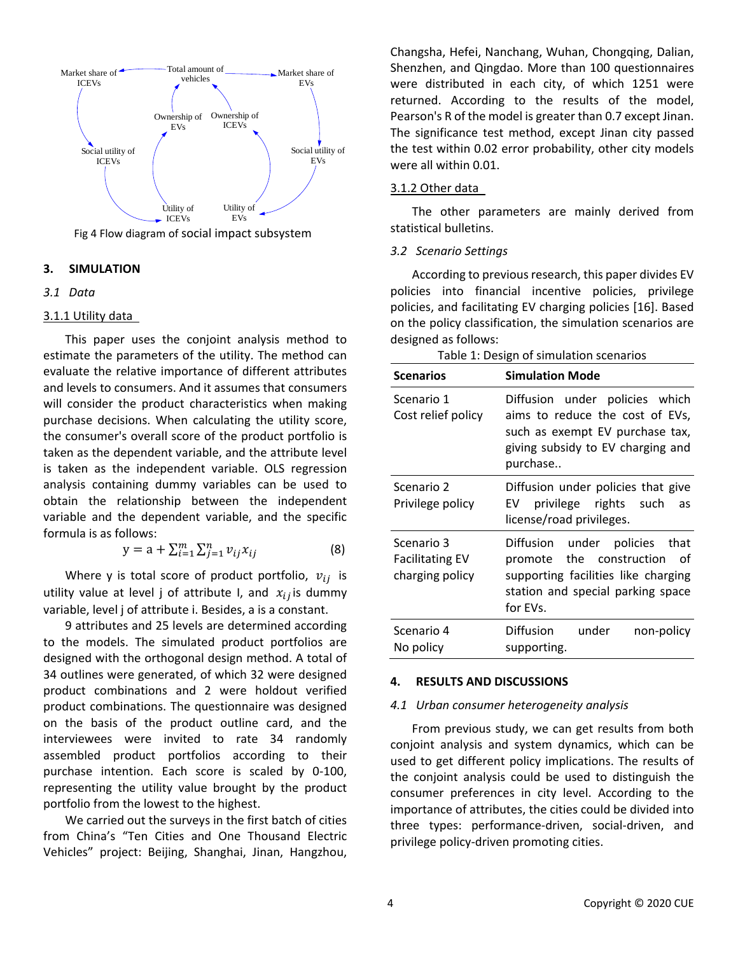

Fig 4 Flow diagram of social impact subsystem

## **3. SIMULATION**

## *3.1 Data*

#### 3.1.1 Utility data

This paper uses the conjoint analysis method to estimate the parameters of the utility. The method can evaluate the relative importance of different attributes and levels to consumers. And it assumes that consumers will consider the product characteristics when making purchase decisions. When calculating the utility score, the consumer's overall score of the product portfolio is taken as the dependent variable, and the attribute level is taken as the independent variable. OLS regression analysis containing dummy variables can be used to obtain the relationship between the independent variable and the dependent variable, and the specific formula is as follows:

$$
y = a + \sum_{i=1}^{m} \sum_{j=1}^{n} v_{ij} x_{ij}
$$
 (8)

Where y is total score of product portfolio,  $v_{ij}$  is utility value at level j of attribute I, and  $x_{ij}$  is dummy variable, level j of attribute i. Besides, a is a constant.

9 attributes and 25 levels are determined according to the models. The simulated product portfolios are designed with the orthogonal design method. A total of 34 outlines were generated, of which 32 were designed product combinations and 2 were holdout verified product combinations. The questionnaire was designed on the basis of the product outline card, and the interviewees were invited to rate 34 randomly assembled product portfolios according to their purchase intention. Each score is scaled by 0-100, representing the utility value brought by the product portfolio from the lowest to the highest.

We carried out the surveys in the first batch of cities from China's "Ten Cities and One Thousand Electric Vehicles" project: Beijing, Shanghai, Jinan, Hangzhou,

Changsha, Hefei, Nanchang, Wuhan, Chongqing, Dalian, Shenzhen, and Qingdao. More than 100 questionnaires were distributed in each city, of which 1251 were returned. According to the results of the model, Pearson's R of the model is greater than 0.7 except Jinan. The significance test method, except Jinan city passed the test within 0.02 error probability, other city models were all within 0.01.

# 3.1.2 Other data

The other parameters are mainly derived from statistical bulletins.

# *3.2 Scenario Settings*

According to previous research, this paper divides EV policies into financial incentive policies, privilege policies, and facilitating EV charging policies [16]. Based on the policy classification, the simulation scenarios are designed as follows:

Table 1: Design of simulation scenarios

| <b>Scenarios</b>                                        | <b>Simulation Mode</b>                                                                                                                                       |
|---------------------------------------------------------|--------------------------------------------------------------------------------------------------------------------------------------------------------------|
| Scenario 1<br>Cost relief policy                        | Diffusion under policies which<br>aims to reduce the cost of EVs,<br>such as exempt EV purchase tax,<br>giving subsidy to EV charging and<br>purchase        |
| Scenario 2<br>Privilege policy                          | Diffusion under policies that give<br>privilege rights such<br>EV<br>as<br>license/road privileges.                                                          |
| Scenario 3<br><b>Facilitating EV</b><br>charging policy | Diffusion under policies that<br>the construction<br>് of<br>promote<br>supporting facilities like charging<br>station and special parking space<br>for EVs. |
| Scenario 4<br>No policy                                 | Diffusion<br>under<br>non-policy<br>supporting.                                                                                                              |

#### **4. RESULTS AND DISCUSSIONS**

#### *4.1 Urban consumer heterogeneity analysis*

From previous study, we can get results from both conjoint analysis and system dynamics, which can be used to get different policy implications. The results of the conjoint analysis could be used to distinguish the consumer preferences in city level. According to the importance of attributes, the cities could be divided into three types: performance-driven, social-driven, and privilege policy-driven promoting cities.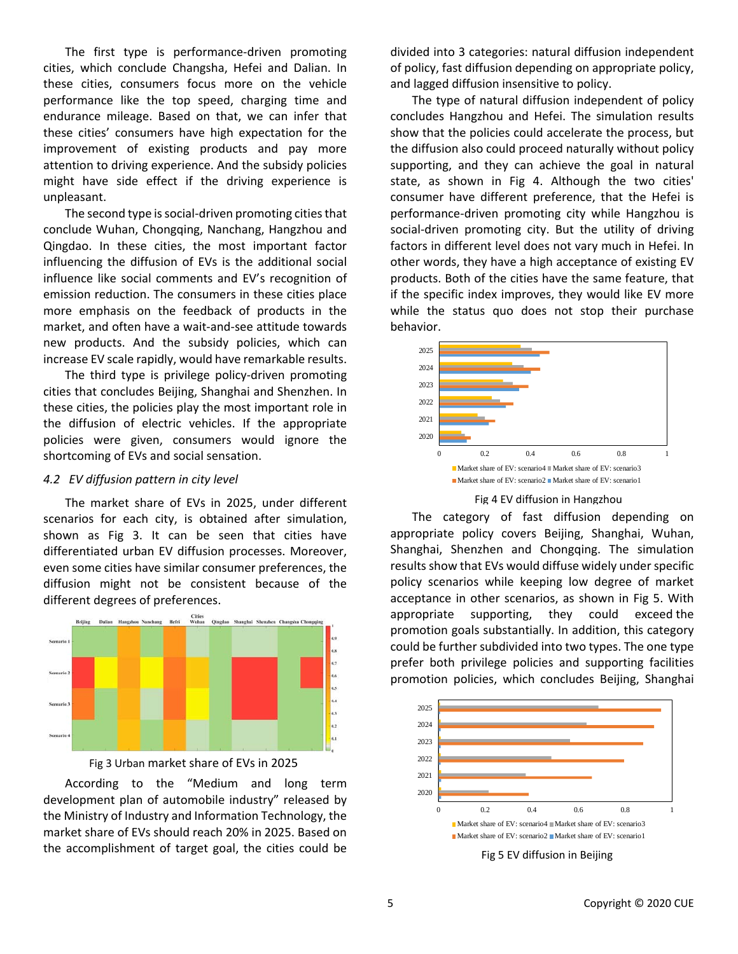The first type is performance-driven promoting cities, which conclude Changsha, Hefei and Dalian. In these cities, consumers focus more on the vehicle performance like the top speed, charging time and endurance mileage. Based on that, we can infer that these cities' consumers have high expectation for the improvement of existing products and pay more attention to driving experience. And the subsidy policies might have side effect if the driving experience is unpleasant.

The second type is social-driven promoting cities that conclude Wuhan, Chongqing, Nanchang, Hangzhou and Qingdao. In these cities, the most important factor influencing the diffusion of EVs is the additional social influence like social comments and EV's recognition of emission reduction. The consumers in these cities place more emphasis on the feedback of products in the market, and often have a wait-and-see attitude towards new products. And the subsidy policies, which can increase EV scale rapidly, would have remarkable results.

The third type is privilege policy-driven promoting cities that concludes Beijing, Shanghai and Shenzhen. In these cities, the policies play the most important role in the diffusion of electric vehicles. If the appropriate policies were given, consumers would ignore the shortcoming of EVs and social sensation.

#### *4.2 EV diffusion pattern in city level*

The market share of EVs in 2025, under different scenarios for each city, is obtained after simulation, shown as Fig 3. It can be seen that cities have differentiated urban EV diffusion processes. Moreover, even some cities have similar consumer preferences, the diffusion might not be consistent because of the different degrees of preferences.





According to the "Medium and long term development plan of automobile industry" released by the Ministry of Industry and Information Technology, the market share of EVs should reach 20% in 2025. Based on the accomplishment of target goal, the cities could be

divided into 3 categories: natural diffusion independent of policy, fast diffusion depending on appropriate policy, and lagged diffusion insensitive to policy.

The type of natural diffusion independent of policy concludes Hangzhou and Hefei. The simulation results show that the policies could accelerate the process, but the diffusion also could proceed naturally without policy supporting, and they can achieve the goal in natural state, as shown in Fig 4. Although the two cities' consumer have different preference, that the Hefei is performance-driven promoting city while Hangzhou is social-driven promoting city. But the utility of driving factors in different level does not vary much in Hefei. In other words, they have a high acceptance of existing EV products. Both of the cities have the same feature, that if the specific index improves, they would like EV more while the status quo does not stop their purchase behavior.



# Fig 4 EV diffusion in Hangzhou

The category of fast diffusion depending on appropriate policy covers Beijing, Shanghai, Wuhan, Shanghai, Shenzhen and Chongqing. The simulation results show that EVs would diffuse widely under specific policy scenarios while keeping low degree of market acceptance in other scenarios, as shown in Fig 5. With appropriate supporting, they could exceed the promotion goals substantially. In addition, this category could be further subdivided into two types. The one type prefer both privilege policies and supporting facilities promotion policies, which concludes Beijing, Shanghai